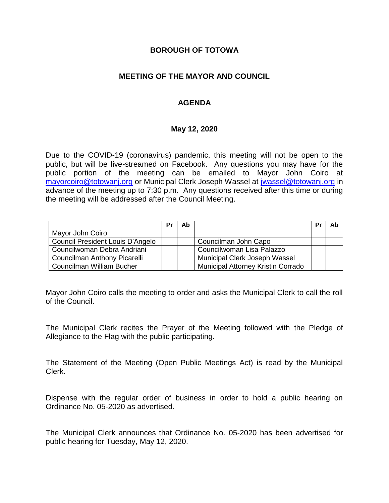#### **BOROUGH OF TOTOWA**

## **MEETING OF THE MAYOR AND COUNCIL**

#### **AGENDA**

#### **May 12, 2020**

Due to the COVID-19 (coronavirus) pandemic, this meeting will not be open to the public, but will be live-streamed on Facebook. Any questions you may have for the public portion of the meeting can be emailed to Mayor John Coiro at [mayorcoiro@totowanj.org](mailto:mayorcoiro@totowanj.org) or Municipal Clerk Joseph Wassel at [jwassel@totowanj.org](mailto:jwassel@totowanj.org) in advance of the meeting up to 7:30 p.m. Any questions received after this time or during the meeting will be addressed after the Council Meeting.

|                                  | Pı | Ab |                                           | Pı | Ab |
|----------------------------------|----|----|-------------------------------------------|----|----|
| Mayor John Coiro                 |    |    |                                           |    |    |
| Council President Louis D'Angelo |    |    | Councilman John Capo                      |    |    |
| Councilwoman Debra Andriani      |    |    | Councilwoman Lisa Palazzo                 |    |    |
| Councilman Anthony Picarelli     |    |    | Municipal Clerk Joseph Wassel             |    |    |
| Councilman William Bucher        |    |    | <b>Municipal Attorney Kristin Corrado</b> |    |    |

Mayor John Coiro calls the meeting to order and asks the Municipal Clerk to call the roll of the Council.

The Municipal Clerk recites the Prayer of the Meeting followed with the Pledge of Allegiance to the Flag with the public participating.

The Statement of the Meeting (Open Public Meetings Act) is read by the Municipal Clerk.

Dispense with the regular order of business in order to hold a public hearing on Ordinance No. 05-2020 as advertised.

The Municipal Clerk announces that Ordinance No. 05-2020 has been advertised for public hearing for Tuesday, May 12, 2020.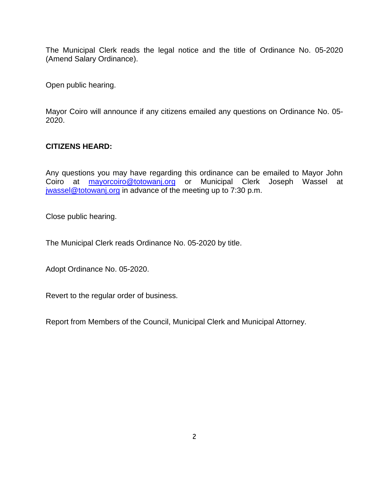The Municipal Clerk reads the legal notice and the title of Ordinance No. 05-2020 (Amend Salary Ordinance).

Open public hearing.

Mayor Coiro will announce if any citizens emailed any questions on Ordinance No. 05- 2020.

## **CITIZENS HEARD:**

Any questions you may have regarding this ordinance can be emailed to Mayor John Coiro at [mayorcoiro@totowanj.org](mailto:mayorcoiro@totowanj.org) or Municipal Clerk Joseph Wassel at [jwassel@totowanj.org](mailto:jwassel@totowanj.org) in advance of the meeting up to 7:30 p.m.

Close public hearing.

The Municipal Clerk reads Ordinance No. 05-2020 by title.

Adopt Ordinance No. 05-2020.

Revert to the regular order of business.

Report from Members of the Council, Municipal Clerk and Municipal Attorney.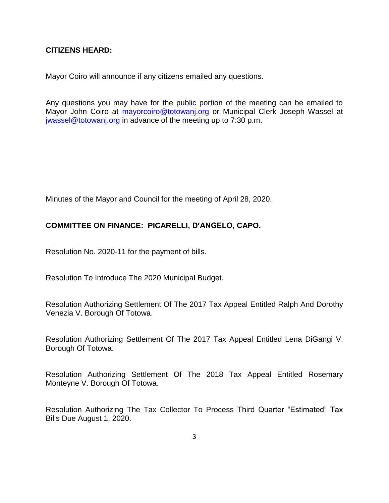#### **CITIZENS HEARD:**

Mayor Coiro will announce if any citizens emailed any questions.

Any questions you may have for the public portion of the meeting can be emailed to Mayor John Coiro at [mayorcoiro@totowanj.org](mailto:mayorcoiro@totowanj.org) or Municipal Clerk Joseph Wassel at [jwassel@totowanj.org](mailto:jwassel@totowanj.org) in advance of the meeting up to 7:30 p.m.

Minutes of the Mayor and Council for the meeting of April 28, 2020.

## **COMMITTEE ON FINANCE: PICARELLI, D'ANGELO, CAPO.**

Resolution No. 2020-11 for the payment of bills.

Resolution To Introduce The 2020 Municipal Budget.

Resolution Authorizing Settlement Of The 2017 Tax Appeal Entitled Ralph And Dorothy Venezia V. Borough Of Totowa.

Resolution Authorizing Settlement Of The 2017 Tax Appeal Entitled Lena DiGangi V. Borough Of Totowa.

Resolution Authorizing Settlement Of The 2018 Tax Appeal Entitled Rosemary Monteyne V. Borough Of Totowa.

Resolution Authorizing The Tax Collector To Process Third Quarter "Estimated" Tax Bills Due August 1, 2020.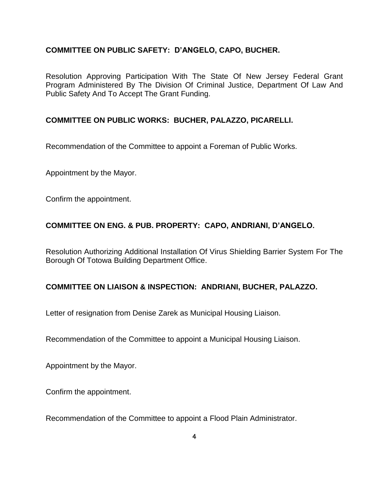## **COMMITTEE ON PUBLIC SAFETY: D'ANGELO, CAPO, BUCHER.**

Resolution Approving Participation With The State Of New Jersey Federal Grant Program Administered By The Division Of Criminal Justice, Department Of Law And Public Safety And To Accept The Grant Funding.

# **COMMITTEE ON PUBLIC WORKS: BUCHER, PALAZZO, PICARELLI.**

Recommendation of the Committee to appoint a Foreman of Public Works.

Appointment by the Mayor.

Confirm the appointment.

## **COMMITTEE ON ENG. & PUB. PROPERTY: CAPO, ANDRIANI, D'ANGELO.**

Resolution Authorizing Additional Installation Of Virus Shielding Barrier System For The Borough Of Totowa Building Department Office.

#### **COMMITTEE ON LIAISON & INSPECTION: ANDRIANI, BUCHER, PALAZZO.**

Letter of resignation from Denise Zarek as Municipal Housing Liaison.

Recommendation of the Committee to appoint a Municipal Housing Liaison.

Appointment by the Mayor.

Confirm the appointment.

Recommendation of the Committee to appoint a Flood Plain Administrator.